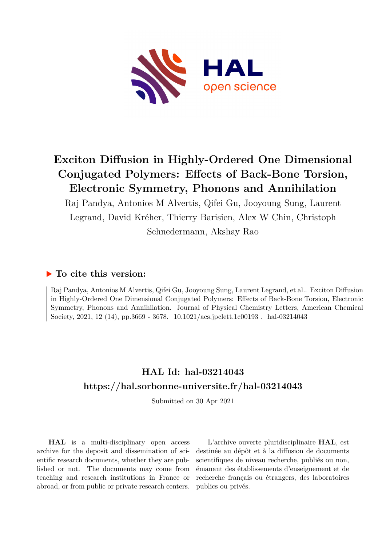

# **Exciton Diffusion in Highly-Ordered One Dimensional Conjugated Polymers: Effects of Back-Bone Torsion, Electronic Symmetry, Phonons and Annihilation**

Raj Pandya, Antonios M Alvertis, Qifei Gu, Jooyoung Sung, Laurent Legrand, David Kréher, Thierry Barisien, Alex W Chin, Christoph Schnedermann, Akshay Rao

## **To cite this version:**

Raj Pandya, Antonios M Alvertis, Qifei Gu, Jooyoung Sung, Laurent Legrand, et al.. Exciton Diffusion in Highly-Ordered One Dimensional Conjugated Polymers: Effects of Back-Bone Torsion, Electronic Symmetry, Phonons and Annihilation. Journal of Physical Chemistry Letters, American Chemical Society, 2021, 12 (14), pp.3669 - 3678.  $10.1021/\text{acs.jpclett.1c00193}$ . hal-03214043

# **HAL Id: hal-03214043 <https://hal.sorbonne-universite.fr/hal-03214043>**

Submitted on 30 Apr 2021

**HAL** is a multi-disciplinary open access archive for the deposit and dissemination of scientific research documents, whether they are published or not. The documents may come from teaching and research institutions in France or abroad, or from public or private research centers.

L'archive ouverte pluridisciplinaire **HAL**, est destinée au dépôt et à la diffusion de documents scientifiques de niveau recherche, publiés ou non, émanant des établissements d'enseignement et de recherche français ou étrangers, des laboratoires publics ou privés.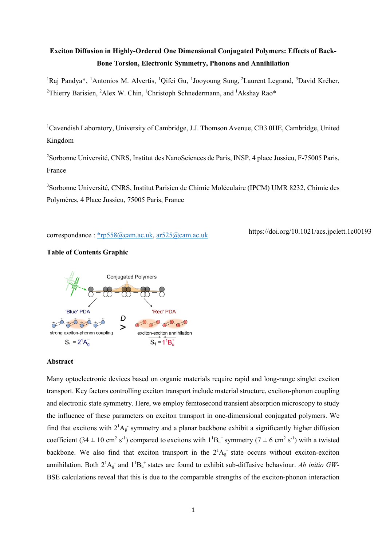# **Exciton Diffusion in Highly-Ordered One Dimensional Conjugated Polymers: Effects of Back-Bone Torsion, Electronic Symmetry, Phonons and Annihilation**

<sup>1</sup>Raj Pandya\*, <sup>1</sup>Antonios M. Alvertis, <sup>1</sup>Qifei Gu, <sup>1</sup>Jooyoung Sung, <sup>2</sup>Laurent Legrand, <sup>3</sup>David Kréher, <sup>2</sup>Thierry Barisien, <sup>2</sup>Alex W. Chin, <sup>1</sup>Christoph Schnedermann, and <sup>1</sup>Akshay Rao\*

<sup>1</sup>Cavendish Laboratory, University of Cambridge, J.J. Thomson Avenue, CB3 0HE, Cambridge, United Kingdom

<sup>2</sup>Sorbonne Université, CNRS, Institut des NanoSciences de Paris, INSP, 4 place Jussieu, F-75005 Paris, France

3 Sorbonne Université, CNRS, Institut Parisien de Chimie Moléculaire (IPCM) UMR 8232, Chimie des Polymères, 4 Place Jussieu, 75005 Paris, France

correspondance : \*rp558@cam.ac.uk, ar525@cam.ac.uk

https://doi.org/10.1021/acs.jpclett.1c00193

## **Table of Contents Graphic**



#### **Abstract**

Many optoelectronic devices based on organic materials require rapid and long-range singlet exciton transport. Key factors controlling exciton transport include material structure, exciton-phonon coupling and electronic state symmetry. Here, we employ femtosecond transient absorption microscopy to study the influence of these parameters on exciton transport in one-dimensional conjugated polymers. We find that excitons with  $2^1A_g$  symmetry and a planar backbone exhibit a significantly higher diffusion coefficient  $(34 \pm 10 \text{ cm}^2 \text{ s}^{-1})$  compared to excitons with  $1^1\text{B}_u$ <sup>+</sup> symmetry  $(7 \pm 6 \text{ cm}^2 \text{ s}^{-1})$  with a twisted backbone. We also find that exciton transport in the  $2^1A_g$  state occurs without exciton-exciton annihilation. Both  $2^1A_g^-$  and  $1^1B_u^+$  states are found to exhibit sub-diffusive behaviour. *Ab initio GW*-BSE calculations reveal that this is due to the comparable strengths of the exciton-phonon interaction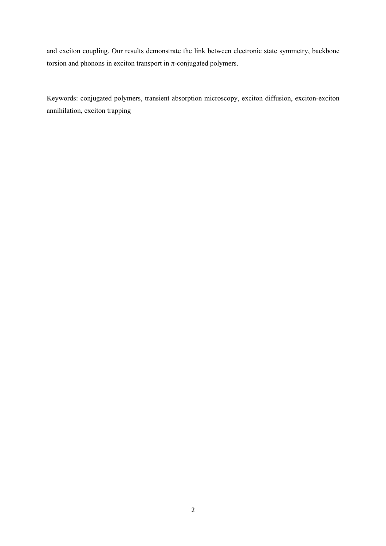and exciton coupling. Our results demonstrate the link between electronic state symmetry, backbone torsion and phonons in exciton transport in π-conjugated polymers.

Keywords: conjugated polymers, transient absorption microscopy, exciton diffusion, exciton-exciton annihilation, exciton trapping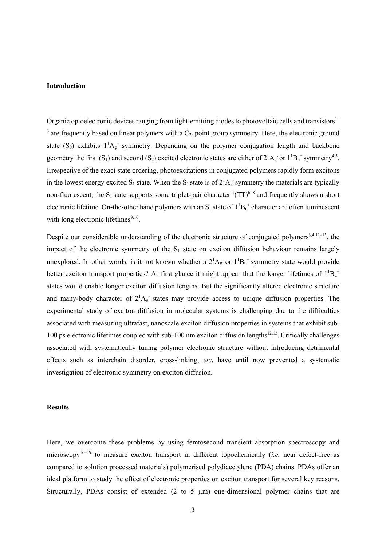#### **Introduction**

Organic optoelectronic devices ranging from light-emitting diodes to photovoltaic cells and transistors<sup>1-</sup>  $3$  are frequently based on linear polymers with a  $C_{2h}$  point group symmetry. Here, the electronic ground state (S<sub>0</sub>) exhibits  $1^1A_g^+$  symmetry. Depending on the polymer conjugation length and backbone geometry the first (S<sub>1</sub>) and second (S<sub>2</sub>) excited electronic states are either of  $2^1A_g$  or  $1^1B_u^+$  symmetry<sup>4,5</sup>. Irrespective of the exact state ordering, photoexcitations in conjugated polymers rapidly form excitons in the lowest energy excited S<sub>1</sub> state. When the S<sub>1</sub> state is of  $2^1A_g$  symmetry the materials are typically non-fluorescent, the S<sub>1</sub> state supports some triplet-pair character  ${}^{1}(TT)^{6-8}$  and frequently shows a short electronic lifetime. On-the-other hand polymers with an  $S_1$  state of  $1^1B_u^+$  character are often luminescent with long electronic lifetimes $9,10$ .

Despite our considerable understanding of the electronic structure of conjugated polymers<sup>3,4,11-15</sup>, the impact of the electronic symmetry of the S<sub>1</sub> state on exciton diffusion behaviour remains largely unexplored. In other words, is it not known whether a  $2^1A_g$  or  $1^1B_u$  symmetry state would provide better exciton transport properties? At first glance it might appear that the longer lifetimes of  $1^1B_u^+$ states would enable longer exciton diffusion lengths. But the significantly altered electronic structure and many-body character of  $2^1A_g$  states may provide access to unique diffusion properties. The experimental study of exciton diffusion in molecular systems is challenging due to the difficulties associated with measuring ultrafast, nanoscale exciton diffusion properties in systems that exhibit sub-100 ps electronic lifetimes coupled with sub-100 nm exciton diffusion lengths<sup>12,13</sup>. Critically challenges associated with systematically tuning polymer electronic structure without introducing detrimental effects such as interchain disorder, cross-linking, *etc*. have until now prevented a systematic investigation of electronic symmetry on exciton diffusion.

#### **Results**

Here, we overcome these problems by using femtosecond transient absorption spectroscopy and microscopy<sup>16–19</sup> to measure exciton transport in different topochemically (*i.e.* near defect-free as compared to solution processed materials) polymerised polydiacetylene (PDA) chains. PDAs offer an ideal platform to study the effect of electronic properties on exciton transport for several key reasons. Structurally, PDAs consist of extended (2 to 5 µm) one-dimensional polymer chains that are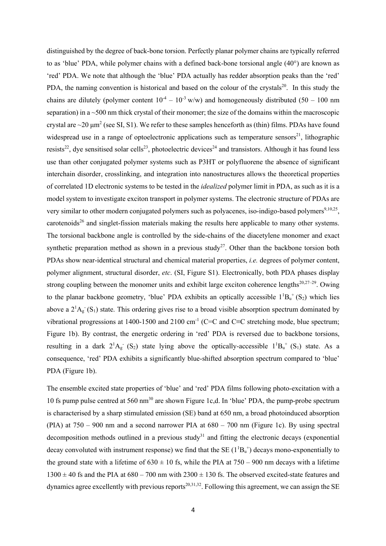distinguished by the degree of back-bone torsion. Perfectly planar polymer chains are typically referred to as 'blue' PDA, while polymer chains with a defined back-bone torsional angle (40°) are known as 'red' PDA. We note that although the 'blue' PDA actually has redder absorption peaks than the 'red' PDA, the naming convention is historical and based on the colour of the crystals<sup>20</sup>. In this study the chains are dilutely (polymer content  $10^{-4} - 10^{-3}$  w/w) and homogeneously distributed (50 – 100 nm separation) in a  $\sim$  500 nm thick crystal of their monomer; the size of the domains within the macroscopic crystal are  $\sim$ 20  $\mu$ m<sup>2</sup> (see SI, S1). We refer to these samples henceforth as (thin) films. PDAs have found widespread use in a range of optoelectronic applications such as temperature sensors<sup>21</sup>, lithographic resists<sup>22</sup>, dye sensitised solar cells<sup>23</sup>, photoelectric devices<sup>24</sup> and transistors. Although it has found less use than other conjugated polymer systems such as P3HT or polyfluorene the absence of significant interchain disorder, crosslinking, and integration into nanostructures allows the theoretical properties of correlated 1D electronic systems to be tested in the *idealized* polymer limit in PDA, as such as it is a model system to investigate exciton transport in polymer systems. The electronic structure of PDAs are very similar to other modern conjugated polymers such as polyacenes, iso-indigo-based polymers<sup>9,10,25</sup>. carotenoids<sup>26</sup> and singlet-fission materials making the results here applicable to many other systems. The torsional backbone angle is controlled by the side-chains of the diacetylene monomer and exact synthetic preparation method as shown in a previous study<sup>27</sup>. Other than the backbone torsion both PDAs show near-identical structural and chemical material properties, *i.e.* degrees of polymer content, polymer alignment, structural disorder, *etc*. (SI, Figure S1). Electronically, both PDA phases display strong coupling between the monomer units and exhibit large exciton coherence lengths $20,27-29$ . Owing to the planar backbone geometry, 'blue' PDA exhibits an optically accessible  $1^1B_u^+(S_2)$  which lies above a  $2^1$ A<sub>g</sub> (S<sub>1</sub>) state. This ordering gives rise to a broad visible absorption spectrum dominated by vibrational progressions at 1400-1500 and 2100 cm<sup>-1</sup> (C=C and C≡C stretching mode, blue spectrum; Figure 1b). By contrast, the energetic ordering in 'red' PDA is reversed due to backbone torsions, resulting in a dark  $2^1A_g (S_2)$  state lying above the optically-accessible  $1^1B_u^+(S_1)$  state. As a consequence, 'red' PDA exhibits a significantly blue-shifted absorption spectrum compared to 'blue' PDA (Figure 1b).

The ensemble excited state properties of 'blue' and 'red' PDA films following photo-excitation with a 10 fs pump pulse centred at 560 nm<sup>30</sup> are shown Figure 1c,d. In 'blue' PDA, the pump-probe spectrum is characterised by a sharp stimulated emission (SE) band at 650 nm, a broad photoinduced absorption (PIA) at 750 – 900 nm and a second narrower PIA at 680 – 700 nm (Figure 1c). By using spectral decomposition methods outlined in a previous study<sup>31</sup> and fitting the electronic decays (exponential) decay convoluted with instrument response) we find that the SE  $(1^1B_u^+)$  decays mono-exponentially to the ground state with a lifetime of  $630 \pm 10$  fs, while the PIA at  $750 - 900$  nm decays with a lifetime  $1300 \pm 40$  fs and the PIA at  $680 - 700$  nm with  $2300 \pm 130$  fs. The observed excited-state features and dynamics agree excellently with previous reports<sup>20,31,32</sup>. Following this agreement, we can assign the SE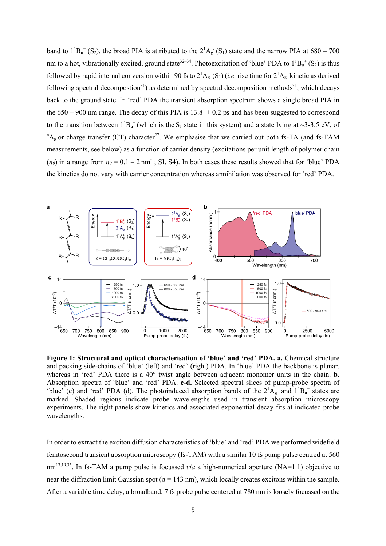band to  $1^1B_u^+(S_2)$ , the broad PIA is attributed to the  $2^1A_g^-(S_1)$  state and the narrow PIA at  $680-700$ nm to a hot, vibrationally excited, ground state<sup>32–34</sup>. Photoexcitation of 'blue' PDA to  $1^1B_u^+(S_2)$  is thus followed by rapid internal conversion within 90 fs to  $2^1A_g(S_1)$  (*i.e.* rise time for  $2^1A_g$  kinetic as derived following spectral decompostion<sup>31</sup>) as determined by spectral decomposition methods<sup>31</sup>, which decays back to the ground state. In 'red' PDA the transient absorption spectrum shows a single broad PIA in the  $650 - 900$  nm range. The decay of this PIA is  $13.8 \pm 0.2$  ps and has been suggested to correspond to the transition between  $1^1B_u^+$  (which is the S<sub>1</sub> state in this system) and a state lying at ~3-3.5 eV, of  ${}^{n}A_{g}$  or charge transfer (CT) character<sup>27</sup>. We emphasise that we carried out both fs-TA (and fs-TAM measurements, see below) as a function of carrier density (excitations per unit length of polymer chain  $(n_0)$  in a range from  $n_0 = 0.1 - 2$  nm<sup>-1</sup>; SI, S4). In both cases these results showed that for 'blue' PDA the kinetics do not vary with carrier concentration whereas annihilation was observed for 'red' PDA.



**Figure 1: Structural and optical characterisation of 'blue' and 'red' PDA. a.** Chemical structure and packing side-chains of 'blue' (left) and 'red' (right) PDA. In 'blue' PDA the backbone is planar, whereas in 'red' PDA there is a 40° twist angle between adjacent monomer units in the chain. **b.** Absorption spectra of 'blue' and 'red' PDA. **c-d.** Selected spectral slices of pump-probe spectra of 'blue' (c) and 'red' PDA (d). The photoinduced absorption bands of the  $2^1A_g$  and  $1^1B_u$  states are marked. Shaded regions indicate probe wavelengths used in transient absorption microscopy experiments. The right panels show kinetics and associated exponential decay fits at indicated probe wavelengths.

In order to extract the exciton diffusion characteristics of 'blue' and 'red' PDA we performed widefield femtosecond transient absorption microscopy (fs-TAM) with a similar 10 fs pump pulse centred at 560 nm17,19,35. In fs-TAM a pump pulse is focussed *via* a high-numerical aperture (NA=1.1) objective to near the diffraction limit Gaussian spot ( $\sigma$  = 143 nm), which locally creates excitons within the sample. After a variable time delay, a broadband, 7 fs probe pulse centered at 780 nm is loosely focussed on the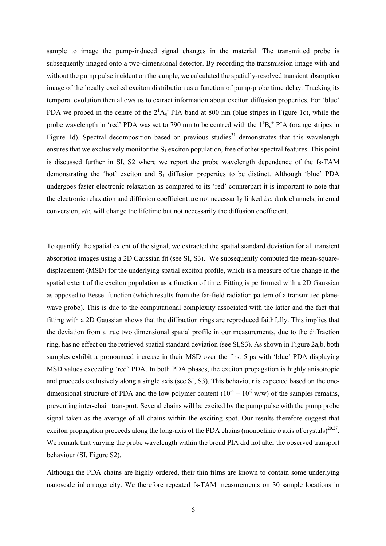sample to image the pump-induced signal changes in the material. The transmitted probe is subsequently imaged onto a two-dimensional detector. By recording the transmission image with and without the pump pulse incident on the sample, we calculated the spatially-resolved transient absorption image of the locally excited exciton distribution as a function of pump-probe time delay. Tracking its temporal evolution then allows us to extract information about exciton diffusion properties. For 'blue' PDA we probed in the centre of the  $2<sup>1</sup>A<sub>g</sub>$ . PIA band at 800 nm (blue stripes in Figure 1c), while the probe wavelength in 'red' PDA was set to 790 nm to be centred with the  $1^1B_u^+$  PIA (orange stripes in Figure 1d). Spectral decomposition based on previous studies<sup>31</sup> demonstrates that this wavelength ensures that we exclusively monitor the  $S_1$  exciton population, free of other spectral features. This point is discussed further in SI, S2 where we report the probe wavelength dependence of the fs-TAM demonstrating the 'hot' exciton and  $S_1$  diffusion properties to be distinct. Although 'blue' PDA undergoes faster electronic relaxation as compared to its 'red' counterpart it is important to note that the electronic relaxation and diffusion coefficient are not necessarily linked *i.e.* dark channels, internal conversion, *etc*, will change the lifetime but not necessarily the diffusion coefficient.

To quantify the spatial extent of the signal, we extracted the spatial standard deviation for all transient absorption images using a 2D Gaussian fit (see SI, S3). We subsequently computed the mean-squaredisplacement (MSD) for the underlying spatial exciton profile, which is a measure of the change in the spatial extent of the exciton population as a function of time. Fitting is performed with a 2D Gaussian as opposed to Bessel function (which results from the far-field radiation pattern of a transmitted planewave probe). This is due to the computational complexity associated with the latter and the fact that fitting with a 2D Gaussian shows that the diffraction rings are reproduced faithfully. This implies that the deviation from a true two dimensional spatial profile in our measurements, due to the diffraction ring, has no effect on the retrieved spatial standard deviation (see SI,S3). As shown in Figure 2a,b, both samples exhibit a pronounced increase in their MSD over the first 5 ps with 'blue' PDA displaying MSD values exceeding 'red' PDA. In both PDA phases, the exciton propagation is highly anisotropic and proceeds exclusively along a single axis (see SI, S3). This behaviour is expected based on the onedimensional structure of PDA and the low polymer content  $(10^{-4} – 10^{-3} w/w)$  of the samples remains, preventing inter-chain transport. Several chains will be excited by the pump pulse with the pump probe signal taken as the average of all chains within the exciting spot. Our results therefore suggest that exciton propagation proceeds along the long-axis of the PDA chains (monoclinic  $b$  axis of crystals)<sup>20,27</sup>. We remark that varying the probe wavelength within the broad PIA did not alter the observed transport behaviour (SI, Figure S2).

Although the PDA chains are highly ordered, their thin films are known to contain some underlying nanoscale inhomogeneity. We therefore repeated fs-TAM measurements on 30 sample locations in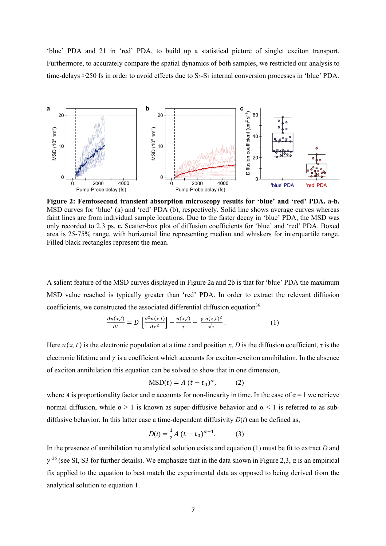'blue' PDA and 21 in 'red' PDA, to build up a statistical picture of singlet exciton transport. Furthermore, to accurately compare the spatial dynamics of both samples, we restricted our analysis to time-delays  $>250$  fs in order to avoid effects due to  $S_2-S_1$  internal conversion processes in 'blue' PDA.



**Figure 2: Femtosecond transient absorption microscopy results for 'blue' and 'red' PDA. a-b.** MSD curves for 'blue' (a) and 'red' PDA (b), respectively. Solid line shows average curves whereas faint lines are from individual sample locations. Due to the faster decay in 'blue' PDA, the MSD was only recorded to 2.3 ps. **c.** Scatter-box plot of diffusion coefficients for 'blue' and 'red' PDA. Boxed area is 25-75% range, with horizontal line representing median and whiskers for interquartile range. Filled black rectangles represent the mean.

A salient feature of the MSD curves displayed in Figure 2a and 2b is that for 'blue' PDA the maximum MSD value reached is typically greater than 'red' PDA. In order to extract the relevant diffusion coefficients, we constructed the associated differential diffusion equation<sup>36</sup>

$$
\frac{\partial n(x,t)}{\partial t} = D \left[ \frac{\partial^2 n(x,t)}{\partial x^2} \right] - \frac{n(x,t)}{\tau} - \frac{\gamma n(x,t)^2}{\sqrt{\tau}}.
$$
 (1)

Here  $n(x, t)$  is the electronic population at a time *t* and position *x*, *D* is the diffusion coefficient,  $\tau$  is the electronic lifetime and  $\gamma$  is a coefficient which accounts for exciton-exciton annihilation. In the absence of exciton annihilation this equation can be solved to show that in one dimension,

$$
MSD(t) = A (t - t_0)^{\alpha}, \qquad (2)
$$

where *A* is proportionality factor and  $\alpha$  accounts for non-linearity in time. In the case of  $\alpha = 1$  we retrieve normal diffusion, while  $\alpha > 1$  is known as super-diffusive behavior and  $\alpha < 1$  is referred to as subdiffusive behavior. In this latter case a time-dependent diffusivity  $D(t)$  can be defined as,

$$
D(t) = \frac{1}{2}A(t - t_0)^{\alpha - 1}.
$$
 (3)

In the presence of annihilation no analytical solution exists and equation (1) must be fit to extract *D* and  $\gamma^{36}$  (see SI, S3 for further details). We emphasize that in the data shown in Figure 2,3,  $\alpha$  is an empirical fix applied to the equation to best match the experimental data as opposed to being derived from the analytical solution to equation 1.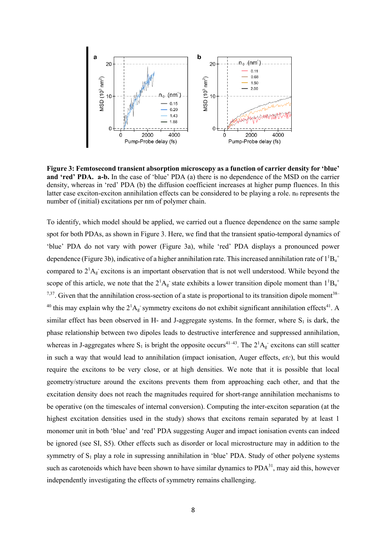

**Figure 3: Femtosecond transient absorption microscopy as a function of carrier density for 'blue' and 'red' PDA. a-b.** In the case of 'blue' PDA (a) there is no dependence of the MSD on the carrier density, whereas in 'red' PDA (b) the diffusion coefficient increases at higher pump fluences. In this latter case exciton-exciton annihilation effects can be considered to be playing a role.  $n_0$  represents the number of (initial) excitations per nm of polymer chain.

To identify, which model should be applied, we carried out a fluence dependence on the same sample spot for both PDAs, as shown in Figure 3. Here, we find that the transient spatio-temporal dynamics of 'blue' PDA do not vary with power (Figure 3a), while 'red' PDA displays a pronounced power dependence (Figure 3b), indicative of a higher annihilation rate. This increased annihilation rate of  $1^1B_u^+$ compared to  $2^1$ A<sub>g</sub> excitons is an important observation that is not well understood. While beyond the scope of this article, we note that the  $2^1A_g$  state exhibits a lower transition dipole moment than  $1^1B_u^+$  $7,37$ . Given that the annihilation cross-section of a state is proportional to its transition dipole moment<sup>38–</sup> <sup>40</sup> this may explain why the  $2^1$ A<sub>g</sub> symmetry excitons do not exhibit significant annihilation effects<sup>41</sup>. A similar effect has been observed in H- and J-aggregate systems. In the former, where  $S_1$  is dark, the phase relationship between two dipoles leads to destructive interference and suppressed annihilation, whereas in J-aggregates where S<sub>1</sub> is bright the opposite occurs<sup>41-43</sup>. The  $2^1A_g$  excitons can still scatter in such a way that would lead to annihilation (impact ionisation, Auger effects, *etc*), but this would require the excitons to be very close, or at high densities. We note that it is possible that local geometry/structure around the excitons prevents them from approaching each other, and that the excitation density does not reach the magnitudes required for short-range annihilation mechanisms to be operative (on the timescales of internal conversion). Computing the inter-exciton separation (at the highest excitation densities used in the study) shows that excitons remain separated by at least 1 monomer unit in both 'blue' and 'red' PDA suggesting Auger and impact ionisation events can indeed be ignored (see SI, S5). Other effects such as disorder or local microstructure may in addition to the symmetry of  $S_1$  play a role in supressing annihilation in 'blue' PDA. Study of other polyene systems such as carotenoids which have been shown to have similar dynamics to  $PDA<sup>31</sup>$ , may aid this, however independently investigating the effects of symmetry remains challenging.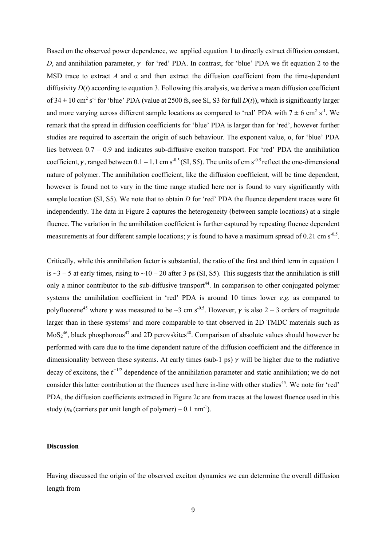Based on the observed power dependence, we applied equation 1 to directly extract diffusion constant, *D*, and annihilation parameter,  $\gamma$  for 'red' PDA. In contrast, for 'blue' PDA we fit equation 2 to the MSD trace to extract *A* and  $\alpha$  and then extract the diffusion coefficient from the time-dependent diffusivity  $D(t)$  according to equation 3. Following this analysis, we derive a mean diffusion coefficient of  $34 \pm 10$  cm<sup>2</sup> s<sup>-1</sup> for 'blue' PDA (value at 2500 fs, see SI, S3 for full  $D(t)$ ), which is significantly larger and more varying across different sample locations as compared to 'red' PDA with  $7 \pm 6$  cm<sup>2</sup> s<sup>-1</sup>. We remark that the spread in diffusion coefficients for 'blue' PDA is larger than for 'red', however further studies are required to ascertain the origin of such behaviour. The exponent value, α, for 'blue' PDA lies between 0.7 – 0.9 and indicates sub-diffusive exciton transport. For 'red' PDA the annihilation coefficient, v, ranged between  $0.1 - 1.1$  cm s<sup>-0.5</sup> (SI, S5). The units of cm s<sup>-0.5</sup> reflect the one-dimensional nature of polymer. The annihilation coefficient, like the diffusion coefficient, will be time dependent, however is found not to vary in the time range studied here nor is found to vary significantly with sample location (SI, S5). We note that to obtain *D* for 'red' PDA the fluence dependent traces were fit independently. The data in Figure 2 captures the heterogeneity (between sample locations) at a single fluence. The variation in the annihilation coefficient is further captured by repeating fluence dependent measurements at four different sample locations;  $\gamma$  is found to have a maximum spread of 0.21 cm s<sup>-0.5</sup>.

Critically, while this annihilation factor is substantial, the ratio of the first and third term in equation 1 is  $\sim$ 3 – 5 at early times, rising to  $\sim$ 10 – 20 after 3 ps (SI, S5). This suggests that the annihilation is still only a minor contributor to the sub-diffusive transport<sup>44</sup>. In comparison to other conjugated polymer systems the annihilation coefficient in 'red' PDA is around 10 times lower *e.g.* as compared to polyfluorene<sup>45</sup> where  $\gamma$  was measured to be  $\sim$ 3 cm s<sup>-0.5</sup>. However,  $\gamma$  is also 2 – 3 orders of magnitude larger than in these systems<sup>1</sup> and more comparable to that observed in 2D TMDC materials such as  $\text{MoS}_2^{46}$ , black phosphorous<sup>47</sup> and 2D perovskites<sup>48</sup>. Comparison of absolute values should however be performed with care due to the time dependent nature of the diffusion coefficient and the difference in dimensionality between these systems. At early times (sub-1 ps)  $\gamma$  will be higher due to the radiative decay of excitons, the  $t^{-1/2}$  dependence of the annihilation parameter and static annihilation; we do not consider this latter contribution at the fluences used here in-line with other studies<sup>45</sup>. We note for 'red' PDA, the diffusion coefficients extracted in Figure 2c are from traces at the lowest fluence used in this study ( $n_0$  (carriers per unit length of polymer)  $\sim 0.1 \text{ nm}^{-1}$ ).

#### **Discussion**

Having discussed the origin of the observed exciton dynamics we can determine the overall diffusion length from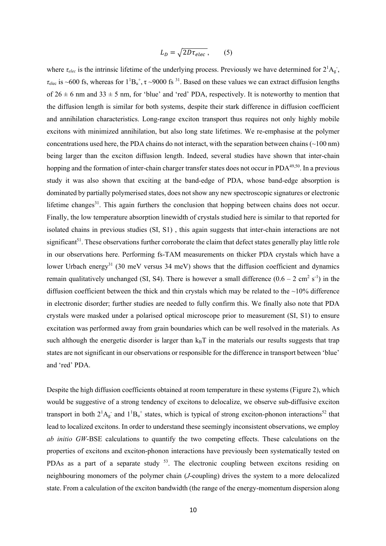$$
L_D = \sqrt{2D\tau_{elec}},\qquad(5)
$$

where  $\tau_{elec}$  is the intrinsic lifetime of the underlying process. Previously we have determined for  $2^1A_g$ ,  $\tau_{\text{elec}}$  is ~600 fs, whereas for  $1^1B_u^+$ ,  $\tau$  ~9000 fs <sup>31</sup>. Based on these values we can extract diffusion lengths of  $26 \pm 6$  nm and  $33 \pm 5$  nm, for 'blue' and 'red' PDA, respectively. It is noteworthy to mention that the diffusion length is similar for both systems, despite their stark difference in diffusion coefficient and annihilation characteristics. Long-range exciton transport thus requires not only highly mobile excitons with minimized annihilation, but also long state lifetimes. We re-emphasise at the polymer concentrations used here, the PDA chains do not interact, with the separation between chains  $(\sim 100 \text{ nm})$ being larger than the exciton diffusion length. Indeed, several studies have shown that inter-chain hopping and the formation of inter-chain charger transfer states does not occur in PDA<sup>49,50</sup>. In a previous study it was also shown that exciting at the band-edge of PDA, whose band-edge absorption is dominated by partially polymerised states, does not show any new spectroscopic signatures or electronic lifetime changes<sup>31</sup>. This again furthers the conclusion that hopping between chains does not occur. Finally, the low temperature absorption linewidth of crystals studied here is similar to that reported for isolated chains in previous studies (SI, S1) , this again suggests that inter-chain interactions are not significant<sup>51</sup>. These observations further corroborate the claim that defect states generally play little role in our observations here. Performing fs-TAM measurements on thicker PDA crystals which have a lower Urbach energy<sup>31</sup> (30 meV versus 34 meV) shows that the diffusion coefficient and dynamics remain qualitatively unchanged (SI, S4). There is however a small difference  $(0.6 - 2 \text{ cm}^2 \text{ s}^{-1})$  in the diffusion coefficient between the thick and thin crystals which may be related to the  $\sim$ 10% difference in electronic disorder; further studies are needed to fully confirm this. We finally also note that PDA crystals were masked under a polarised optical microscope prior to measurement (SI, S1) to ensure excitation was performed away from grain boundaries which can be well resolved in the materials. As such although the energetic disorder is larger than  $k_BT$  in the materials our results suggests that trap states are not significant in our observations or responsible for the difference in transport between 'blue' and 'red' PDA.

Despite the high diffusion coefficients obtained at room temperature in these systems (Figure 2), which would be suggestive of a strong tendency of excitons to delocalize, we observe sub-diffusive exciton transport in both  $2^1$ A<sub>g</sub> and  $1^1$ B<sub>u</sub><sup>+</sup> states, which is typical of strong exciton-phonon interactions<sup>52</sup> that lead to localized excitons. In order to understand these seemingly inconsistent observations, we employ *ab initio GW*-BSE calculations to quantify the two competing effects. These calculations on the properties of excitons and exciton-phonon interactions have previously been systematically tested on PDAs as a part of a separate study  $53$ . The electronic coupling between excitons residing on neighbouring monomers of the polymer chain (*J*-coupling) drives the system to a more delocalized state. From a calculation of the exciton bandwidth (the range of the energy-momentum dispersion along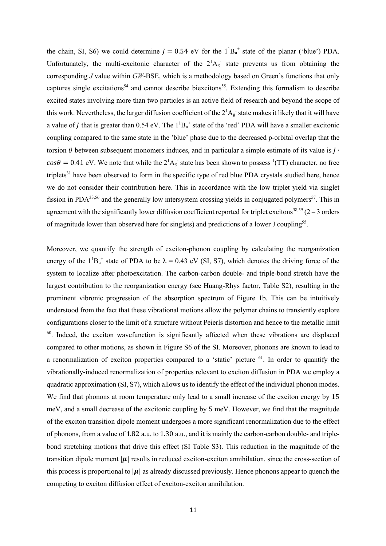the chain, SI, S6) we could determine  $J = 0.54$  eV for the  $1^{1}B_{u}^{+}$  state of the planar ('blue') PDA. Unfortunately, the multi-excitonic character of the  $2^1A_g$  state prevents us from obtaining the corresponding *J* value within *GW*-BSE, which is a methodology based on Green's functions that only captures single excitations<sup>54</sup> and cannot describe biexcitons<sup>55</sup>. Extending this formalism to describe excited states involving more than two particles is an active field of research and beyond the scope of this work. Nevertheless, the larger diffusion coefficient of the  $2^1A_g$  state makes it likely that it will have a value of *J* that is greater than 0.54 eV. The  $1^1B_u^+$  state of the 'red' PDA will have a smaller excitonic coupling compared to the same state in the 'blue' phase due to the decreased p-orbital overlap that the torsion  $\theta$  between subsequent monomers induces, and in particular a simple estimate of its value is  $J \cdot$  $cos\theta = 0.41$  eV. We note that while the  $2^1A_g$  state has been shown to possess <sup>1</sup>(TT) character, no free triplets $31$  have been observed to form in the specific type of red blue PDA crystals studied here, hence we do not consider their contribution here. This in accordance with the low triplet yield via singlet fission in PDA<sup>33,56</sup> and the generally low intersystem crossing yields in conjugated polymers<sup>57</sup>. This in agreement with the significantly lower diffusion coefficient reported for triplet excitons<sup>58,59</sup> ( $2-3$  orders of magnitude lower than observed here for singlets) and predictions of a lower J coupling<sup>55</sup>.

Moreover, we quantify the strength of exciton-phonon coupling by calculating the reorganization energy of the  $1^1B_u^+$  state of PDA to be  $\lambda = 0.43$  eV (SI, S7), which denotes the driving force of the system to localize after photoexcitation. The carbon-carbon double- and triple-bond stretch have the largest contribution to the reorganization energy (see Huang-Rhys factor, Table S2), resulting in the prominent vibronic progression of the absorption spectrum of Figure 1b. This can be intuitively understood from the fact that these vibrational motions allow the polymer chains to transiently explore configurations closer to the limit of a structure without Peierls distortion and hence to the metallic limit <sup>60</sup>. Indeed, the exciton wavefunction is significantly affected when these vibrations are displaced compared to other motions, as shown in Figure S6 of the SI. Moreover, phonons are known to lead to a renormalization of exciton properties compared to a 'static' picture  $^{61}$ . In order to quantify the vibrationally-induced renormalization of properties relevant to exciton diffusion in PDA we employ a quadratic approximation (SI, S7), which allows us to identify the effect of the individual phonon modes. We find that phonons at room temperature only lead to a small increase of the exciton energy by 15 meV, and a small decrease of the excitonic coupling by 5 meV. However, we find that the magnitude of the exciton transition dipole moment undergoes a more significant renormalization due to the effect of phonons, from a value of 1.82 a.u. to 1.30 a.u., and it is mainly the carbon-carbon double- and triplebond stretching motions that drive this effect (SI Table S3). This reduction in the magnitude of the transition dipole moment  $|\mu|$  results in reduced exciton-exciton annihilation, since the cross-section of this process is proportional to  $|\mu|$  as already discussed previously. Hence phonons appear to quench the competing to exciton diffusion effect of exciton-exciton annihilation.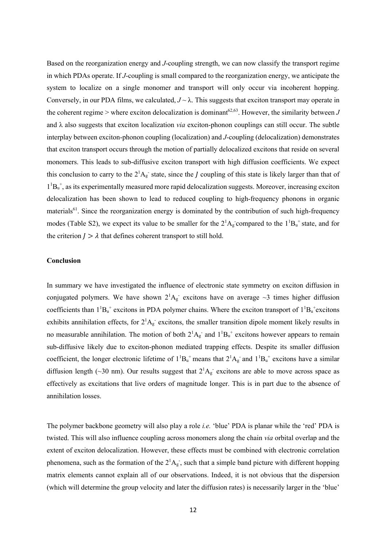Based on the reorganization energy and *J*-coupling strength, we can now classify the transport regime in which PDAs operate. If *J*-coupling is small compared to the reorganization energy, we anticipate the system to localize on a single monomer and transport will only occur via incoherent hopping. Conversely, in our PDA films, we calculated,  $J \sim \lambda$ . This suggests that exciton transport may operate in the coherent regime > where exciton delocalization is dominant<sup>62,63</sup>. However, the similarity between *J* and λ also suggests that exciton localization *via* exciton-phonon couplings can still occur. The subtle interplay between exciton-phonon coupling (localization) and *J*-coupling (delocalization) demonstrates that exciton transport occurs through the motion of partially delocalized excitons that reside on several monomers. This leads to sub-diffusive exciton transport with high diffusion coefficients. We expect this conclusion to carry to the  $2^1$ A<sub>g</sub> state, since the *J* coupling of this state is likely larger than that of  $1<sup>1</sup>B<sub>u</sub><sup>+</sup>$ , as its experimentally measured more rapid delocalization suggests. Moreover, increasing exciton delocalization has been shown to lead to reduced coupling to high-frequency phonons in organic materials<sup>61</sup>. Since the reorganization energy is dominated by the contribution of such high-frequency modes (Table S2), we expect its value to be smaller for the  $2^1A_g$  compared to the  $1^1B_u^+$  state, and for the criterion  $I > \lambda$  that defines coherent transport to still hold.

#### **Conclusion**

In summary we have investigated the influence of electronic state symmetry on exciton diffusion in conjugated polymers. We have shown  $2^1A_g$  excitons have on average  $\sim$ 3 times higher diffusion coefficients than  $1^1B_u^+$  excitons in PDA polymer chains. Where the exciton transport of  $1^1B_u^+$  excitons exhibits annihilation effects, for  $2^1A_g$  excitons, the smaller transition dipole moment likely results in no measurable annihilation. The motion of both  $2^1A_g^-$  and  $1^1B_u^+$  excitons however appears to remain sub-diffusive likely due to exciton-phonon mediated trapping effects. Despite its smaller diffusion coefficient, the longer electronic lifetime of  $1^1B_u^+$  means that  $2^1A_g^-$  and  $1^1B_u^+$  excitons have a similar diffusion length (~30 nm). Our results suggest that  $2^1A_g$  excitons are able to move across space as effectively as excitations that live orders of magnitude longer. This is in part due to the absence of annihilation losses.

The polymer backbone geometry will also play a role *i.e.* 'blue' PDA is planar while the 'red' PDA is twisted. This will also influence coupling across monomers along the chain *via* orbital overlap and the extent of exciton delocalization. However, these effects must be combined with electronic correlation phenomena, such as the formation of the  $2^1A_g$ , such that a simple band picture with different hopping matrix elements cannot explain all of our observations. Indeed, it is not obvious that the dispersion (which will determine the group velocity and later the diffusion rates) is necessarily larger in the 'blue'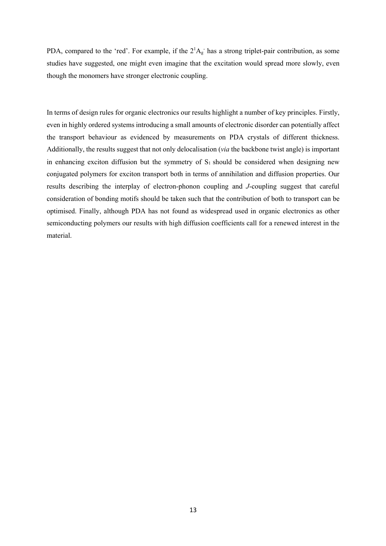PDA, compared to the 'red'. For example, if the  $2^1A_g$  has a strong triplet-pair contribution, as some studies have suggested, one might even imagine that the excitation would spread more slowly, even though the monomers have stronger electronic coupling.

In terms of design rules for organic electronics our results highlight a number of key principles. Firstly, even in highly ordered systems introducing a small amounts of electronic disorder can potentially affect the transport behaviour as evidenced by measurements on PDA crystals of different thickness. Additionally, the results suggest that not only delocalisation (*via* the backbone twist angle) is important in enhancing exciton diffusion but the symmetry of  $S_1$  should be considered when designing new conjugated polymers for exciton transport both in terms of annihilation and diffusion properties. Our results describing the interplay of electron-phonon coupling and *J*-coupling suggest that careful consideration of bonding motifs should be taken such that the contribution of both to transport can be optimised. Finally, although PDA has not found as widespread used in organic electronics as other semiconducting polymers our results with high diffusion coefficients call for a renewed interest in the material.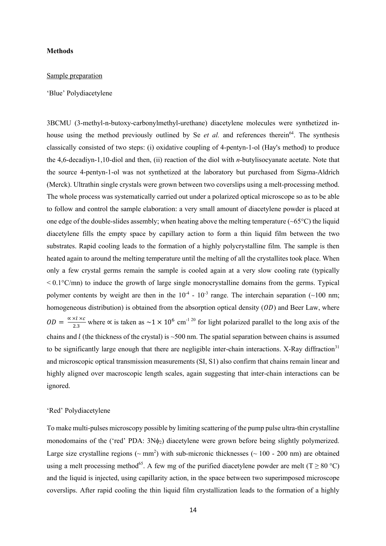#### **Methods**

#### Sample preparation

#### 'Blue' Polydiacetylene

3BCMU (3-methyl-n-butoxy-carbonylmethyl-urethane) diacetylene molecules were synthetized inhouse using the method previously outlined by Se *et al.* and references therein<sup>64</sup>. The synthesis classically consisted of two steps: (i) oxidative coupling of 4-pentyn-1-ol (Hay's method) to produce the 4,6-decadiyn-1,10-diol and then, (ii) reaction of the diol with *n*-butylisocyanate acetate. Note that the source 4-pentyn-1-ol was not synthetized at the laboratory but purchased from Sigma-Aldrich (Merck). Ultrathin single crystals were grown between two coverslips using a melt-processing method. The whole process was systematically carried out under a polarized optical microscope so as to be able to follow and control the sample elaboration: a very small amount of diacetylene powder is placed at one edge of the double-slides assembly; when heating above the melting temperature ( $\sim 65^{\circ}$ C) the liquid diacetylene fills the empty space by capillary action to form a thin liquid film between the two substrates. Rapid cooling leads to the formation of a highly polycrystalline film. The sample is then heated again to around the melting temperature until the melting of all the crystallites took place. When only a few crystal germs remain the sample is cooled again at a very slow cooling rate (typically  $\leq 0.1$ °C/mn) to induce the growth of large single monocrystalline domains from the germs. Typical polymer contents by weight are then in the  $10^{-4}$  -  $10^{-3}$  range. The interchain separation (~100 nm; homogeneous distribution) is obtained from the absorption optical density  $(OD)$  and Beer Law, where  $OD = \frac{\alpha \times l \times c}{2.3}$  where  $\alpha$  is taken as  $\sim 1 \times 10^6$  cm<sup>-1 20</sup> for light polarized parallel to the long axis of the chains and  $l$  (the thickness of the crystal) is  $\sim$  500 nm. The spatial separation between chains is assumed to be significantly large enough that there are negligible inter-chain interactions. X-Ray diffraction $31$ and microscopic optical transmission measurements (SI, S1) also confirm that chains remain linear and highly aligned over macroscopic length scales, again suggesting that inter-chain interactions can be ignored.

### 'Red' Polydiacetylene

To make multi-pulses microscopy possible by limiting scattering of the pump pulse ultra-thin crystalline monodomains of the ('red' PDA:  $3N\phi_2$ ) diacetylene were grown before being slightly polymerized. Large size crystalline regions ( $\sim$  mm<sup>2</sup>) with sub-micronic thicknesses ( $\sim$  100 - 200 nm) are obtained using a melt processing method<sup>65</sup>. A few mg of the purified diacetylene powder are melt (T  $\geq$  80 °C) and the liquid is injected, using capillarity action, in the space between two superimposed microscope coverslips. After rapid cooling the thin liquid film crystallization leads to the formation of a highly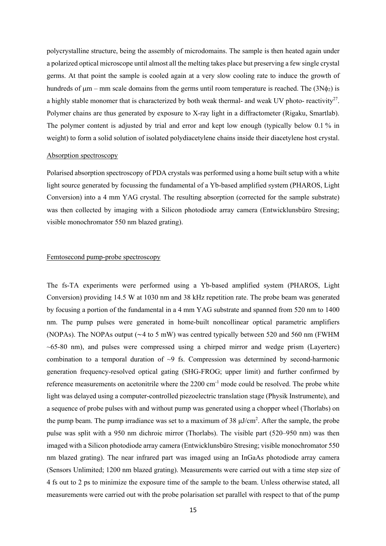polycrystalline structure, being the assembly of microdomains. The sample is then heated again under a polarized optical microscope until almost all the melting takes place but preserving a few single crystal germs. At that point the sample is cooled again at a very slow cooling rate to induce the growth of hundreds of  $\mu$ m – mm scale domains from the germs until room temperature is reached. The (3N $\phi$ <sub>2</sub>) is a highly stable monomer that is characterized by both weak thermal- and weak UV photo- reactivity<sup>27</sup>. Polymer chains are thus generated by exposure to X-ray light in a diffractometer (Rigaku, Smartlab). The polymer content is adjusted by trial and error and kept low enough (typically below 0.1 % in weight) to form a solid solution of isolated polydiacetylene chains inside their diacetylene host crystal.

#### Absorption spectroscopy

Polarised absorption spectroscopy of PDA crystals was performed using a home built setup with a white light source generated by focussing the fundamental of a Yb-based amplified system (PHAROS, Light Conversion) into a 4 mm YAG crystal. The resulting absorption (corrected for the sample substrate) was then collected by imaging with a Silicon photodiode array camera (Entwicklunsbüro Stresing; visible monochromator 550 nm blazed grating).

#### Femtosecond pump-probe spectroscopy

The fs-TA experiments were performed using a Yb-based amplified system (PHAROS, Light Conversion) providing 14.5 W at 1030 nm and 38 kHz repetition rate. The probe beam was generated by focusing a portion of the fundamental in a 4 mm YAG substrate and spanned from 520 nm to 1400 nm. The pump pulses were generated in home-built noncollinear optical parametric amplifiers (NOPAs). The NOPAs output (∼4 to 5 mW) was centred typically between 520 and 560 nm (FWHM  $\sim 65-80$  nm), and pulses were compressed using a chirped mirror and wedge prism (Layerterc) combination to a temporal duration of  $\sim$ 9 fs. Compression was determined by second-harmonic generation frequency-resolved optical gating (SHG-FROG; upper limit) and further confirmed by reference measurements on acetonitrile where the 2200 cm<sup>-1</sup> mode could be resolved. The probe white light was delayed using a computer-controlled piezoelectric translation stage (Physik Instrumente), and a sequence of probe pulses with and without pump was generated using a chopper wheel (Thorlabs) on the pump beam. The pump irradiance was set to a maximum of  $38 \mu$ J/cm<sup>2</sup>. After the sample, the probe pulse was split with a 950 nm dichroic mirror (Thorlabs). The visible part (520–950 nm) was then imaged with a Silicon photodiode array camera (Entwicklunsbüro Stresing; visible monochromator 550 nm blazed grating). The near infrared part was imaged using an InGaAs photodiode array camera (Sensors Unlimited; 1200 nm blazed grating). Measurements were carried out with a time step size of 4 fs out to 2 ps to minimize the exposure time of the sample to the beam. Unless otherwise stated, all measurements were carried out with the probe polarisation set parallel with respect to that of the pump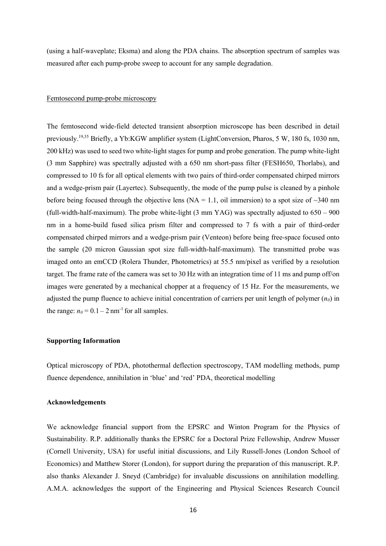(using a half-waveplate; Eksma) and along the PDA chains. The absorption spectrum of samples was measured after each pump-probe sweep to account for any sample degradation.

#### Femtosecond pump-probe microscopy

The femtosecond wide-field detected transient absorption microscope has been described in detail previously.19,35 Briefly, a Yb:KGW amplifier system (LightConversion, Pharos, 5 W, 180 fs, 1030 nm, 200 kHz) was used to seed two white-light stages for pump and probe generation. The pump white-light (3 mm Sapphire) was spectrally adjusted with a 650 nm short-pass filter (FESH650, Thorlabs), and compressed to 10 fs for all optical elements with two pairs of third-order compensated chirped mirrors and a wedge-prism pair (Layertec). Subsequently, the mode of the pump pulse is cleaned by a pinhole before being focused through the objective lens (NA = 1.1, oil immersion) to a spot size of  $\sim$ 340 nm (full-width-half-maximum). The probe white-light (3 mm YAG) was spectrally adjusted to 650 – 900 nm in a home-build fused silica prism filter and compressed to 7 fs with a pair of third-order compensated chirped mirrors and a wedge-prism pair (Venteon) before being free-space focused onto the sample (20 micron Gaussian spot size full-width-half-maximum). The transmitted probe was imaged onto an emCCD (Rolera Thunder, Photometrics) at 55.5 nm/pixel as verified by a resolution target. The frame rate of the camera was set to 30 Hz with an integration time of 11 ms and pump off/on images were generated by a mechanical chopper at a frequency of 15 Hz. For the measurements, we adjusted the pump fluence to achieve initial concentration of carriers per unit length of polymer  $(n_0)$  in the range:  $n_0 = 0.1 - 2$  nm<sup>-1</sup> for all samples.

#### **Supporting Information**

Optical microscopy of PDA, photothermal deflection spectroscopy, TAM modelling methods, pump fluence dependence, annihilation in 'blue' and 'red' PDA, theoretical modelling

#### **Acknowledgements**

We acknowledge financial support from the EPSRC and Winton Program for the Physics of Sustainability. R.P. additionally thanks the EPSRC for a Doctoral Prize Fellowship, Andrew Musser (Cornell University, USA) for useful initial discussions, and Lily Russell-Jones (London School of Economics) and Matthew Storer (London), for support during the preparation of this manuscript. R.P. also thanks Alexander J. Sneyd (Cambridge) for invaluable discussions on annihilation modelling. A.M.A. acknowledges the support of the Engineering and Physical Sciences Research Council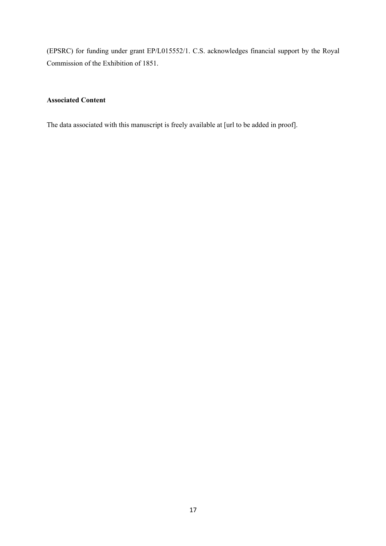(EPSRC) for funding under grant EP/L015552/1. C.S. acknowledges financial support by the Royal Commission of the Exhibition of 1851.

### **Associated Content**

The data associated with this manuscript is freely available at [url to be added in proof].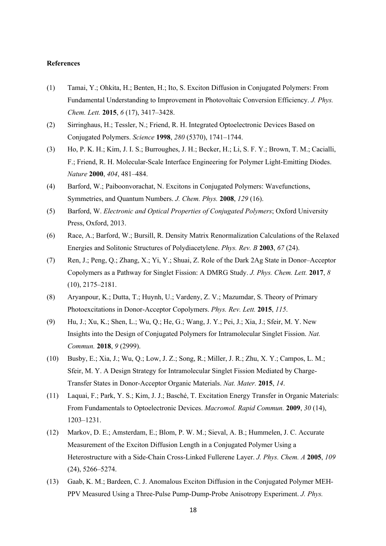#### **References**

- (1) Tamai, Y.; Ohkita, H.; Benten, H.; Ito, S. Exciton Diffusion in Conjugated Polymers: From Fundamental Understanding to Improvement in Photovoltaic Conversion Efficiency. *J. Phys. Chem. Lett.* **2015**, *6* (17), 3417–3428.
- (2) Sirringhaus, H.; Tessler, N.; Friend, R. H. Integrated Optoelectronic Devices Based on Conjugated Polymers. *Science* **1998**, *280* (5370), 1741–1744.
- (3) Ho, P. K. H.; Kim, J. I. S.; Burroughes, J. H.; Becker, H.; Li, S. F. Y.; Brown, T. M.; Cacialli, F.; Friend, R. H. Molecular-Scale Interface Engineering for Polymer Light-Emitting Diodes. *Nature* **2000**, *404*, 481–484.
- (4) Barford, W.; Paiboonvorachat, N. Excitons in Conjugated Polymers: Wavefunctions, Symmetries, and Quantum Numbers. *J. Chem. Phys.* **2008**, *129* (16).
- (5) Barford, W. *Electronic and Optical Properties of Conjugated Polymers*; Oxford University Press, Oxford, 2013.
- (6) Race, A.; Barford, W.; Bursill, R. Density Matrix Renormalization Calculations of the Relaxed Energies and Solitonic Structures of Polydiacetylene. *Phys. Rev. B* **2003**, *67* (24).
- (7) Ren, J.; Peng, Q.; Zhang, X.; Yi, Y.; Shuai, Z. Role of the Dark 2Ag State in Donor–Acceptor Copolymers as a Pathway for Singlet Fission: A DMRG Study. *J. Phys. Chem. Lett.* **2017**, *8* (10), 2175–2181.
- (8) Aryanpour, K.; Dutta, T.; Huynh, U.; Vardeny, Z. V.; Mazumdar, S. Theory of Primary Photoexcitations in Donor-Acceptor Copolymers. *Phys. Rev. Lett.* **2015**, *115*.
- (9) Hu, J.; Xu, K.; Shen, L.; Wu, Q.; He, G.; Wang, J. Y.; Pei, J.; Xia, J.; Sfeir, M. Y. New Insights into the Design of Conjugated Polymers for Intramolecular Singlet Fission. *Nat. Commun.* **2018**, *9* (2999).
- (10) Busby, E.; Xia, J.; Wu, Q.; Low, J. Z.; Song, R.; Miller, J. R.; Zhu, X. Y.; Campos, L. M.; Sfeir, M. Y. A Design Strategy for Intramolecular Singlet Fission Mediated by Charge-Transfer States in Donor-Acceptor Organic Materials. *Nat. Mater.* **2015**, *14*.
- (11) Laquai, F.; Park, Y. S.; Kim, J. J.; Basché, T. Excitation Energy Transfer in Organic Materials: From Fundamentals to Optoelectronic Devices. *Macromol. Rapid Commun.* **2009**, *30* (14), 1203–1231.
- (12) Markov, D. E.; Amsterdam, E.; Blom, P. W. M.; Sieval, A. B.; Hummelen, J. C. Accurate Measurement of the Exciton Diffusion Length in a Conjugated Polymer Using a Heterostructure with a Side-Chain Cross-Linked Fullerene Layer. *J. Phys. Chem. A* **2005**, *109* (24), 5266–5274.
- (13) Gaab, K. M.; Bardeen, C. J. Anomalous Exciton Diffusion in the Conjugated Polymer MEH-PPV Measured Using a Three-Pulse Pump-Dump-Probe Anisotropy Experiment. *J. Phys.*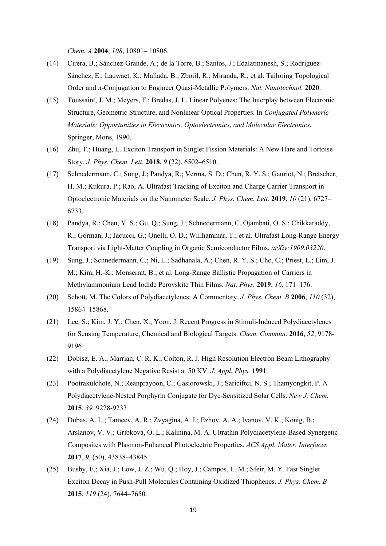*Chem. A* **2004**, *108*, 10801– 10806.

- (14) Cirera, B.; Sánchez-Grande, A.; de la Torre, B.; Santos, J.; Edalatmanesh, S.; Rodríguez-Sánchez, E.; Lauwaet, K.; Mallada, B.; Zbořil, R.; Miranda, R.; et al. Tailoring Topological Order and π-Conjugation to Engineer Quasi-Metallic Polymers. *Nat. Nanotechnol.* **2020**.
- (15) Toussaint, J. M.; Meyers, F.; Bredas, J. L. Linear Polyenes: The Interplay between Electronic Structure, Geometric Structure, and Nonlinear Optical Properties. In *Conjugated Polymeric Materials: Opportunities in Electronics, Optoelectronics, and Molecular Electronics*, Springer, Mons, 1990.
- (16) Zhu, T.; Huang, L. Exciton Transport in Singlet Fission Materials: A New Hare and Tortoise Story. *J. Phys. Chem. Lett.* **2018**, *9* (22), 6502–6510.
- (17) Schnedermann, C.; Sung, J.; Pandya, R.; Verma, S. D.; Chen, R. Y. S.; Gauriot, N.; Bretscher, H. M.; Kukura, P.; Rao, A. Ultrafast Tracking of Exciton and Charge Carrier Transport in Optoelectronic Materials on the Nanometer Scale. *J. Phys. Chem. Lett.* **2019**, *10* (21), 6727– 6733.
- (18) Pandya, R.; Chen, Y. S.; Gu, Q.; Sung, J.; Schnedermann, C. Ojambati, O. S.; Chikkaraddy, R.; Gorman, J.; Jacucci, G.; Onelli, O. D.; Willhammar, T.; et al. Ultrafast Long-Range Energy Transport via Light-Matter Coupling in Organic Semiconductor Films. *arXiv:1909.03220*.
- (19) Sung, J.; Schnedermann, C.; Ni, L.; Sadhanala, A.; Chen, R. Y. S.; Cho, C.; Priest, L.; Lim, J. M.; Kim, H.-K.; Monserrat, B.; et al. Long-Range Ballistic Propagation of Carriers in Methylammonium Lead Iodide Perovskite Thin Films. *Nat. Phys.* **2019**, *16*, 171–176.
- (20) Schott, M. The Colors of Polydiacetylenes: A Commentary. *J. Phys. Chem. B* **2006**, *110* (32), 15864–15868.
- (21) Lee, S.; Kim, J. Y.; Chen, X.; Yoon, J. Recent Progress in Stimuli-Induced Polydiacetylenes for Sensing Temperature, Chemical and Biological Targets. *Chem. Commun.* **2016**, *52*, 9178- 9196
- (22) Dobisz, E. A.; Marrian, C. R. K.; Colton, R. J. High Resolution Electron Beam Lithography with a Polydiacetylene Negative Resist at 50 KV. *J. Appl. Phys.* **1991**.
- (23) Pootrakulchote, N.; Reanprayoon, C.; Gasiorowski, J.; Sariciftci, N. S.; Thamyongkit, P. A Polydiacetylene-Nested Porphyrin Conjugate for Dye-Sensitized Solar Cells. *New J. Chem.* **2015**, *39,* 9228-9233
- (24) Dubas, A. L.; Tameev, A. R.; Zvyagina, A. I.; Ezhov, A. A.; Ivanov, V. K.; König, B.; Arslanov, V. V.; Gribkova, O. L.; Kalinina, M. A. Ultrathin Polydiacetylene-Based Synergetic Composites with Plasmon-Enhanced Photoelectric Properties. *ACS Appl. Mater. Interfaces* **2017**, *9*, (50), 43838–43845
- (25) Busby, E.; Xia, J.; Low, J. Z.; Wu, Q.; Hoy, J.; Campos, L. M.; Sfeir, M. Y. Fast Singlet Exciton Decay in Push-Pull Molecules Containing Oxidized Thiophenes. *J. Phys. Chem. B* **2015**, *119* (24), 7644–7650.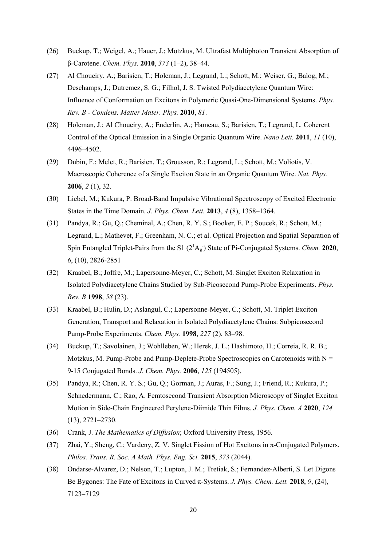- (26) Buckup, T.; Weigel, A.; Hauer, J.; Motzkus, M. Ultrafast Multiphoton Transient Absorption of β-Carotene. *Chem. Phys.* **2010**, *373* (1–2), 38–44.
- (27) Al Choueiry, A.; Barisien, T.; Holcman, J.; Legrand, L.; Schott, M.; Weiser, G.; Balog, M.; Deschamps, J.; Dutremez, S. G.; Filhol, J. S. Twisted Polydiacetylene Quantum Wire: Influence of Conformation on Excitons in Polymeric Quasi-One-Dimensional Systems. *Phys. Rev. B - Condens. Matter Mater. Phys.* **2010**, *81*.
- (28) Holcman, J.; Al Choueiry, A.; Enderlin, A.; Hameau, S.; Barisien, T.; Legrand, L. Coherent Control of the Optical Emission in a Single Organic Quantum Wire. *Nano Lett.* **2011**, *11* (10), 4496–4502.
- (29) Dubin, F.; Melet, R.; Barisien, T.; Grousson, R.; Legrand, L.; Schott, M.; Voliotis, V. Macroscopic Coherence of a Single Exciton State in an Organic Quantum Wire. *Nat. Phys.* **2006**, *2* (1), 32.
- (30) Liebel, M.; Kukura, P. Broad-Band Impulsive Vibrational Spectroscopy of Excited Electronic States in the Time Domain. *J. Phys. Chem. Lett.* **2013**, *4* (8), 1358–1364.
- (31) Pandya, R.; Gu, Q.; Cheminal, A.; Chen, R. Y. S.; Booker, E. P.; Soucek, R.; Schott, M.; Legrand, L.; Mathevet, F.; Greenham, N. C.; et al. Optical Projection and Spatial Separation of Spin Entangled Triplet-Pairs from the S1 (2<sup>1</sup>A<sub>g</sub><sup>-</sup>) State of Pi-Conjugated Systems. *Chem.* **2020**, *6*, (10), 2826-2851
- (32) Kraabel, B.; Joffre, M.; Lapersonne-Meyer, C.; Schott, M. Singlet Exciton Relaxation in Isolated Polydiacetylene Chains Studied by Sub-Picosecond Pump-Probe Experiments. *Phys. Rev. B* **1998**, *58* (23).
- (33) Kraabel, B.; Hulin, D.; Aslangul, C.; Lapersonne-Meyer, C.; Schott, M. Triplet Exciton Generation, Transport and Relaxation in Isolated Polydiacetylene Chains: Subpicosecond Pump-Probe Experiments. *Chem. Phys.* **1998**, *227* (2), 83–98.
- (34) Buckup, T.; Savolainen, J.; Wohlleben, W.; Herek, J. L.; Hashimoto, H.; Correia, R. R. B.; Motzkus, M. Pump-Probe and Pump-Deplete-Probe Spectroscopies on Carotenoids with  $N =$ 9-15 Conjugated Bonds. *J. Chem. Phys.* **2006**, *125* (194505).
- (35) Pandya, R.; Chen, R. Y. S.; Gu, Q.; Gorman, J.; Auras, F.; Sung, J.; Friend, R.; Kukura, P.; Schnedermann, C.; Rao, A. Femtosecond Transient Absorption Microscopy of Singlet Exciton Motion in Side-Chain Engineered Perylene-Diimide Thin Films. *J. Phys. Chem. A* **2020**, *124* (13), 2721–2730.
- (36) Crank, J. *The Mathematics of Diffusion*; Oxford University Press, 1956.
- (37) Zhai, Y.; Sheng, C.; Vardeny, Z. V. Singlet Fission of Hot Excitons in  $\pi$ -Conjugated Polymers. *Philos. Trans. R. Soc. A Math. Phys. Eng. Sci.* **2015**, *373* (2044).
- (38) Ondarse-Alvarez, D.; Nelson, T.; Lupton, J. M.; Tretiak, S.; Fernandez-Alberti, S. Let Digons Be Bygones: The Fate of Excitons in Curved π-Systems. *J. Phys. Chem. Lett.* **2018**, *9*, (24), 7123–7129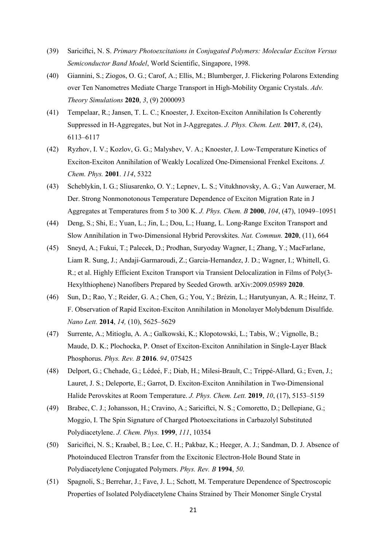- (39) Sariciftci, N. S. *Primary Photoexcitations in Conjugated Polymers: Molecular Exciton Versus Semiconductor Band Model*, World Scientific, Singapore, 1998.
- (40) Giannini, S.; Ziogos, O. G.; Carof, A.; Ellis, M.; Blumberger, J. Flickering Polarons Extending over Ten Nanometres Mediate Charge Transport in High‐Mobility Organic Crystals. *Adv. Theory Simulations* **2020**, *3*, (9) 2000093
- (41) Tempelaar, R.; Jansen, T. L. C.; Knoester, J. Exciton-Exciton Annihilation Is Coherently Suppressed in H-Aggregates, but Not in J-Aggregates. *J. Phys. Chem. Lett.* **2017**, *8*, (24), 6113–6117
- (42) Ryzhov, I. V.; Kozlov, G. G.; Malyshev, V. A.; Knoester, J. Low-Temperature Kinetics of Exciton-Exciton Annihilation of Weakly Localized One-Dimensional Frenkel Excitons. *J. Chem. Phys.* **2001**. *114*, 5322
- (43) Scheblykin, I. G.; Sliusarenko, O. Y.; Lepnev, L. S.; Vitukhnovsky, A. G.; Van Auweraer, M. Der. Strong Nonmonotonous Temperature Dependence of Exciton Migration Rate in J Aggregates at Temperatures from 5 to 300 K. *J. Phys. Chem. B* **2000**, *104*, (47), 10949–10951
- (44) Deng, S.; Shi, E.; Yuan, L.; Jin, L.; Dou, L.; Huang, L. Long-Range Exciton Transport and Slow Annihilation in Two-Dimensional Hybrid Perovskites. *Nat. Commun.* **2020**, (11), 664
- (45) Sneyd, A.; Fukui, T.; Palecek, D.; Prodhan, Suryoday Wagner, I.; Zhang, Y.; MacFarlane, Liam R. Sung, J.; Andaji-Garmaroudi, Z.; Garcia-Hernandez, J. D.; Wagner, I.; Whittell, G. R.; et al. Highly Efficient Exciton Transport via Transient Delocalization in Films of Poly(3- Hexylthiophene) Nanofibers Prepared by Seeded Growth. arXiv:2009.05989 **2020**.
- (46) Sun, D.; Rao, Y.; Reider, G. A.; Chen, G.; You, Y.; Brézin, L.; Harutyunyan, A. R.; Heinz, T. F. Observation of Rapid Exciton-Exciton Annihilation in Monolayer Molybdenum Disulfide. *Nano Lett.* **2014**, *14,* (10), 5625–5629
- (47) Surrente, A.; Mitioglu, A. A.; Galkowski, K.; Klopotowski, L.; Tabis, W.; Vignolle, B.; Maude, D. K.; Plochocka, P. Onset of Exciton-Exciton Annihilation in Single-Layer Black Phosphorus. *Phys. Rev. B* **2016**. *94*, 075425
- (48) Delport, G.; Chehade, G.; Lédeé, F.; Diab, H.; Milesi-Brault, C.; Trippé-Allard, G.; Even, J.; Lauret, J. S.; Deleporte, E.; Garrot, D. Exciton-Exciton Annihilation in Two-Dimensional Halide Perovskites at Room Temperature. *J. Phys. Chem. Lett.* **2019**, *10*, (17), 5153–5159
- (49) Brabec, C. J.; Johansson, H.; Cravino, A.; Sariciftci, N. S.; Comoretto, D.; Dellepiane, G.; Moggio, I. The Spin Signature of Charged Photoexcitations in Carbazolyl Substituted Polydiacetylene. *J. Chem. Phys.* **1999**, *111*, 10354
- (50) Sariciftci, N. S.; Kraabel, B.; Lee, C. H.; Pakbaz, K.; Heeger, A. J.; Sandman, D. J. Absence of Photoinduced Electron Transfer from the Excitonic Electron-Hole Bound State in Polydiacetylene Conjugated Polymers. *Phys. Rev. B* **1994**, *50*.
- (51) Spagnoli, S.; Berrehar, J.; Fave, J. L.; Schott, M. Temperature Dependence of Spectroscopic Properties of Isolated Polydiacetylene Chains Strained by Their Monomer Single Crystal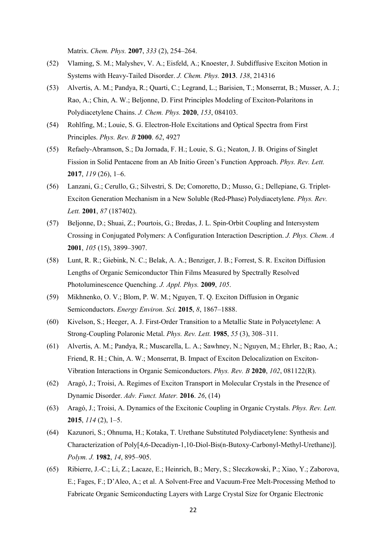Matrix. *Chem. Phys.* **2007**, *333* (2), 254–264.

- (52) Vlaming, S. M.; Malyshev, V. A.; Eisfeld, A.; Knoester, J. Subdiffusive Exciton Motion in Systems with Heavy-Tailed Disorder. *J. Chem. Phys.* **2013**. *138*, 214316
- (53) Alvertis, A. M.; Pandya, R.; Quarti, C.; Legrand, L.; Barisien, T.; Monserrat, B.; Musser, A. J.; Rao, A.; Chin, A. W.; Beljonne, D. First Principles Modeling of Exciton-Polaritons in Polydiacetylene Chains. *J. Chem. Phys.* **2020**, *153*, 084103.
- (54) Rohlfing, M.; Louie, S. G. Electron-Hole Excitations and Optical Spectra from First Principles. *Phys. Rev. B* **2000**. *62*, 4927
- (55) Refaely-Abramson, S.; Da Jornada, F. H.; Louie, S. G.; Neaton, J. B. Origins of Singlet Fission in Solid Pentacene from an Ab Initio Green's Function Approach. *Phys. Rev. Lett.* **2017**, *119* (26), 1–6.
- (56) Lanzani, G.; Cerullo, G.; Silvestri, S. De; Comoretto, D.; Musso, G.; Dellepiane, G. Triplet-Exciton Generation Mechanism in a New Soluble (Red-Phase) Polydiacetylene. *Phys. Rev. Lett.* **2001**, *87* (187402).
- (57) Beljonne, D.; Shuai, Z.; Pourtois, G.; Bredas, J. L. Spin-Orbit Coupling and Intersystem Crossing in Conjugated Polymers: A Configuration Interaction Description. *J. Phys. Chem. A* **2001**, *105* (15), 3899–3907.
- (58) Lunt, R. R.; Giebink, N. C.; Belak, A. A.; Benziger, J. B.; Forrest, S. R. Exciton Diffusion Lengths of Organic Semiconductor Thin Films Measured by Spectrally Resolved Photoluminescence Quenching. *J. Appl. Phys.* **2009**, *105*.
- (59) Mikhnenko, O. V.; Blom, P. W. M.; Nguyen, T. Q. Exciton Diffusion in Organic Semiconductors. *Energy Environ. Sci.* **2015**, *8*, 1867–1888.
- (60) Kivelson, S.; Heeger, A. J. First-Order Transition to a Metallic State in Polyacetylene: A Strong-Coupling Polaronic Metal. *Phys. Rev. Lett.* **1985**, *55* (3), 308–311.
- (61) Alvertis, A. M.; Pandya, R.; Muscarella, L. A.; Sawhney, N.; Nguyen, M.; Ehrler, B.; Rao, A.; Friend, R. H.; Chin, A. W.; Monserrat, B. Impact of Exciton Delocalization on Exciton-Vibration Interactions in Organic Semiconductors. *Phys. Rev. B* **2020**, *102*, 081122(R).
- (62) Aragó, J.; Troisi, A. Regimes of Exciton Transport in Molecular Crystals in the Presence of Dynamic Disorder. *Adv. Funct. Mater.* **2016**. *26*, (14)
- (63) Aragó, J.; Troisi, A. Dynamics of the Excitonic Coupling in Organic Crystals. *Phys. Rev. Lett.* **2015**, *114* (2), 1–5.
- (64) Kazunori, S.; Ohnuma, H.; Kotaka, T. Urethane Substituted Polydiacetylene: Synthesis and Characterization of Poly[4,6-Decadiyn-1,10-Diol-Bis(n-Butoxy-Carbonyl-Methyl-Urethane)]. *Polym. J.* **1982**, *14*, 895–905.
- (65) Ribierre, J.-C.; Li, Z.; Lacaze, E.; Heinrich, B.; Mery, S.; Sleczkowski, P.; Xiao, Y.; Zaborova, E.; Fages, F.; D'Aleo, A.; et al. A Solvent-Free and Vacuum-Free Melt-Processing Method to Fabricate Organic Semiconducting Layers with Large Crystal Size for Organic Electronic